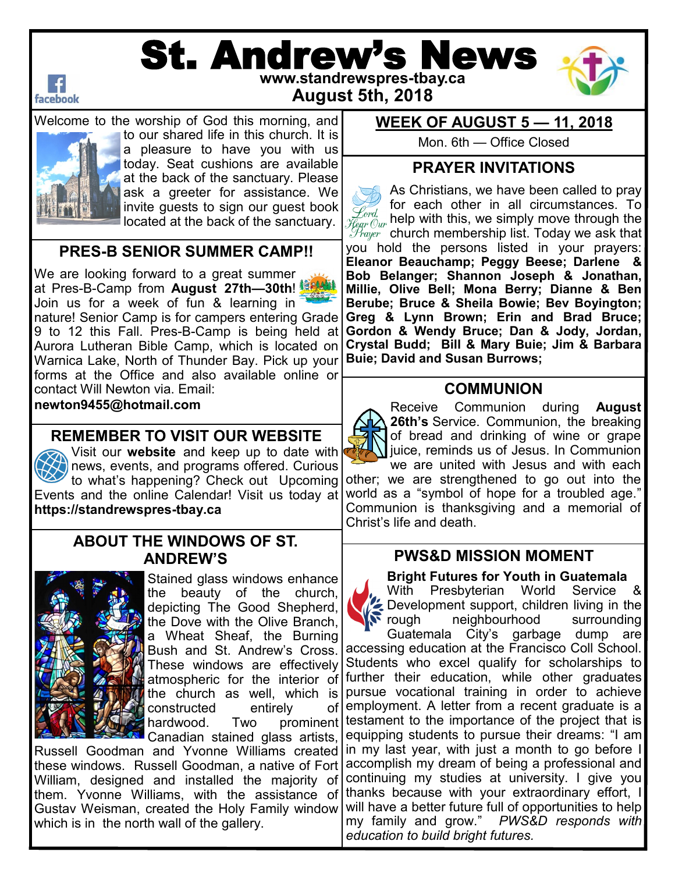

# St. Andrew's News





Welcome to the worship of God this morning, and to our shared life in this church. It is a pleasure to have you with us today. Seat cushions are available at the back of the sanctuary. Please ask a greeter for assistance. We invite guests to sign our guest book located at the back of the sanctuary.

### **PRES-B SENIOR SUMMER CAMP!!**

nature! Senior Camp is for campers entering Grade **| Greg & Lynn Brown; Erin and Brad Bruce;** We are looking forward to a great summer at Pres-B-Camp from **August 27th—30th**! Join us for a week of fun & learning in 9 to 12 this Fall. Pres-B-Camp is being held at Aurora Lutheran Bible Camp, which is located on Warnica Lake, North of Thunder Bay. Pick up your forms at the Office and also available online or contact Will Newton via. Email: **newton9455@hotmail.com** 

**REMEMBER TO VISIT OUR WEBSITE**

Visit our **website** and keep up to date with news, events, and programs offered. Curious to what's happening? Check out Upcoming Events and the online Calendar! Visit us today at **https://standrewspres-tbay.ca** 

### **ABOUT THE WINDOWS OF ST. ANDREW'S**



Stained glass windows enhance the beauty of the church, depicting The Good Shepherd, the Dove with the Olive Branch, a Wheat Sheaf, the Burning Bush and St. Andrew's Cross. These windows are effectively atmospheric for the interior of the church as well, which is constructed entirely

Canadian stained glass artists, Russell Goodman and Yvonne Williams created these windows. Russell Goodman, a native of Fort William, designed and installed the majority of them. Yvonne Williams, with the assistance of Gustav Weisman, created the Holy Family window which is in the north wall of the gallery.

### **WEEK OF AUGUST 5 — 11, 2018**

Mon. 6th — Office Closed

### **PRAYER INVITATIONS**

As Christians, we have been called to pray for each other in all circumstances. To Lord.  $\widetilde{\mathcal{H}}_{\ell q r\ell w}^{j_{c r d, \ell}}$  help with this, we simply move through the  $\mathcal{P}_{\textit{rayer}}$  church membership list. Today we ask that you hold the persons listed in your prayers: **Eleanor Beauchamp; Peggy Beese; Darlene & Bob Belanger; Shannon Joseph & Jonathan, Millie, Olive Bell; Mona Berry; Dianne & Ben Berube; Bruce & Sheila Bowie; Bev Boyington; Gordon & Wendy Bruce; Dan & Jody, Jordan, Crystal Budd; Bill & Mary Buie; Jim & Barbara Buie; David and Susan Burrows;** 

### **COMMUNION**

Receive Communion during **August 26th's** Service. Communion, the breaking of bread and drinking of wine or grape juice, reminds us of Jesus. In Communion we are united with Jesus and with each

other; we are strengthened to go out into the world as a "symbol of hope for a troubled age." Communion is thanksgiving and a memorial of Christ's life and death.

### **PWS&D MISSION MOMENT**

#### **Bright Futures for Youth in Guatemala**

With Presbyterian World Service & Development support, children living in the<br>rough meighbourhood surrounding neighbourhood surrounding Guatemala City's garbage dump are accessing education at the Francisco Coll School. Students who excel qualify for scholarships to further their education, while other graduates pursue vocational training in order to achieve  $of$  employment. A letter from a recent graduate is a hardwood. Two prominent testament to the importance of the project that is equipping students to pursue their dreams: "I am in my last year, with just a month to go before I accomplish my dream of being a professional and continuing my studies at university. I give you thanks because with your extraordinary effort, I will have a better future full of opportunities to help my family and grow." *PWS&D responds with education to build bright futures.*